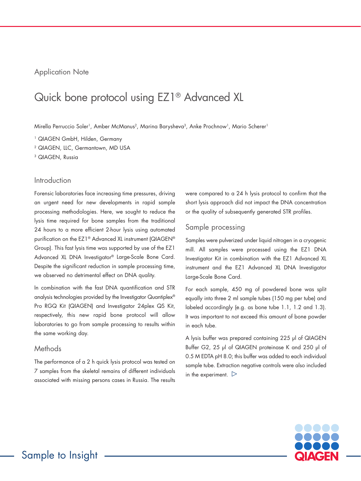## Application Note

# Quick bone protocol using EZ1® Advanced XL

Mirella Perruccio Soler<sup>1</sup>, Amber McManus<sup>2</sup>, Marina Barysheva<sup>3</sup>, Anke Prochnow<sup>1</sup>, Mario Scherer<sup>1</sup>

<sup>1</sup> QIAGEN GmbH, Hilden, Germany

2 QIAGEN, LLC, Germantown, MD USA

<sup>3</sup> QIAGEN, Russia

## Introduction

Forensic laboratories face increasing time pressures, driving an urgent need for new developments in rapid sample processing methodologies. Here, we sought to reduce the lysis time required for bone samples from the traditional 24 hours to a more efficient 2-hour lysis using automated purification on the EZ1® Advanced XL instrument (QIAGEN® Group). This fast lysis time was supported by use of the EZ1 Advanced XL DNA Investigator® Large-Scale Bone Card. Despite the significant reduction in sample processing time, we observed no detrimental effect on DNA quality.

In combination with the fast DNA quantification and STR analysis technologies provided by the Investigator Quantiplex® Pro RGQ Kit (QIAGEN) and Investigator 24plex QS Kit, respectively, this new rapid bone protocol will allow laboratories to go from sample processing to results within the same working day.

## **Methods**

The performance of a 2 h quick lysis protocol was tested on 7 samples from the skeletal remains of different individuals associated with missing persons cases in Russia. The results were compared to a 24 h lysis protocol to confirm that the short lysis approach did not impact the DNA concentration or the quality of subsequently generated STR profiles.

#### Sample processing

Samples were pulverized under liquid nitrogen in a cryogenic mill. All samples were processed using the EZ1 DNA Investigator Kit in combination with the EZ1 Advanced XL instrument and the EZ1 Advanced XL DNA Investigator Large-Scale Bone Card.

For each sample, 450 mg of powdered bone was split equally into three 2 ml sample tubes (150 mg per tube) and labeled accordingly (e.g. as bone tube 1.1, 1.2 and 1.3). It was important to not exceed this amount of bone powder in each tube.

A lysis buffer was prepared containing 225 μl of QIAGEN Buffer G2, 25 μl of QIAGEN proteinase K and 250 μl of 0.5 M EDTA pH 8.0; this buffer was added to each individual sample tube. Extraction negative controls were also included in the experiment.  $\triangleright$ 

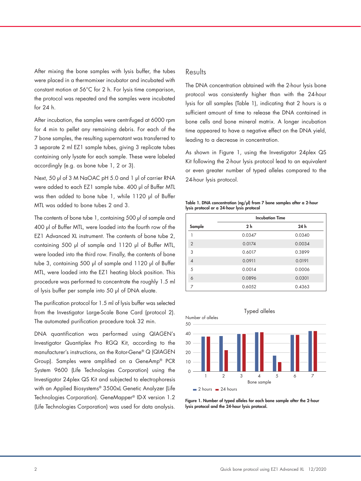After mixing the bone samples with lysis buffer, the tubes were placed in a thermomixer incubator and incubated with constant motion at 56°C for 2 h. For lysis time comparison, the protocol was repeated and the samples were incubated for 24 h.

After incubation, the samples were centrifuged at 6000 rpm for 4 min to pellet any remaining debris. For each of the 7 bone samples, the resulting supernatant was transferred to 3 separate 2 ml EZ1 sample tubes, giving 3 replicate tubes containing only lysate for each sample. These were labeled accordingly (e.g. as bone tube 1, 2 or 3).

Next, 50 μl of 3 M NaOAC pH 5.0 and 1 μl of carrier RNA were added to each EZ1 sample tube. 400 μl of Buffer MTL was then added to bone tube 1, while 1120 μl of Buffer MTL was added to bone tubes 2 and 3.

The contents of bone tube 1, containing 500 μl of sample and 400 μl of Buffer MTL, were loaded into the fourth row of the EZ1 Advanced XL instrument. The contents of bone tube 2, containing 500 μl of sample and 1120 μl of Buffer MTL, were loaded into the third row. Finally, the contents of bone tube 3, containing 500 μl of sample and 1120 μl of Buffer MTL, were loaded into the EZ1 heating block position. This procedure was performed to concentrate the roughly 1.5 ml of lysis buffer per sample into 50 µl of DNA eluate.

The purification protocol for 1.5 ml of lysis buffer was selected from the Investigator Large-Scale Bone Card (protocol 2). The automated purification procedure took 32 min.

DNA quantification was performed using QIAGEN's Investigator Quantiplex Pro RGQ Kit, according to the manufacturer's instructions, on the Rotor-Gene® Q (QIAGEN Group). Samples were amplified on a GeneAmp® PCR System 9600 (Life Technologies Corporation) using the Investigator 24plex QS Kit and subjected to electrophoresis with an Applied Biosystems® 3500xL Genetic Analyzer (Life Technologies Corporation). GeneMapper® ID-X version 1.2 (Life Technologies Corporation) was used for data analysis.

#### Results

The DNA concentration obtained with the 2-hour lysis bone protocol was consistently higher than with the 24-hour lysis for all samples (Table 1), indicating that 2 hours is a sufficient amount of time to release the DNA contained in bone cells and bone mineral matrix. A longer incubation time appeared to have a negative effect on the DNA yield, leading to a decrease in concentration.

As shown in Figure 1, using the Investigator 24plex QS Kit following the 2-hour lysis protocol lead to an equivalent or even greater number of typed alleles compared to the 24-hour lysis protocol.

Table 1. DNA concentration (ng/µl) from 7 bone samples after a 2-hour lysis protocol or a 24-hour lysis protocol

|                | <b>Incubation Time</b> |                 |
|----------------|------------------------|-----------------|
| Sample         | 2 <sub>h</sub>         | 24 <sub>h</sub> |
|                | 0.0347                 | 0.0340          |
| $\overline{2}$ | 0.0174                 | 0.0034          |
| 3              | 0.6017                 | 0.3899          |
| $\overline{4}$ | 0.0911                 | 0.0191          |
| 5              | 0.0014                 | 0.0006          |
| 6              | 0.0896                 | 0.0301          |
| 7              | 0.6052                 | 0.4363          |



Figure 1. Number of typed alleles for each bone sample after the 2-hour lysis protocol and the 24-hour lysis protocol.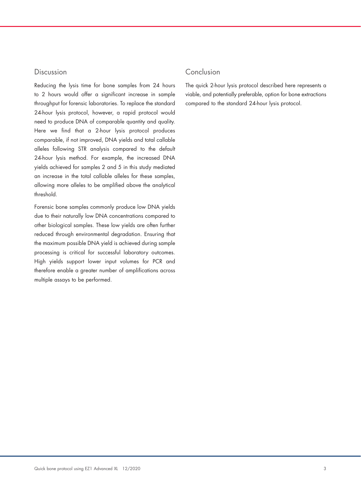### Discussion

Reducing the lysis time for bone samples from 24 hours to 2 hours would offer a significant increase in sample throughput for forensic laboratories. To replace the standard 24-hour lysis protocol, however, a rapid protocol would need to produce DNA of comparable quantity and quality. Here we find that a 2-hour lysis protocol produces comparable, if not improved, DNA yields and total callable alleles following STR analysis compared to the default 24-hour lysis method. For example, the increased DNA yields achieved for samples 2 and 5 in this study mediated an increase in the total callable alleles for these samples, allowing more alleles to be amplified above the analytical threshold.

Forensic bone samples commonly produce low DNA yields due to their naturally low DNA concentrations compared to other biological samples. These low yields are often further reduced through environmental degradation. Ensuring that the maximum possible DNA yield is achieved during sample processing is critical for successful laboratory outcomes. High yields support lower input volumes for PCR and therefore enable a greater number of amplifications across multiple assays to be performed.

# Conclusion

The quick 2-hour lysis protocol described here represents a viable, and potentially preferable, option for bone extractions compared to the standard 24-hour lysis protocol.